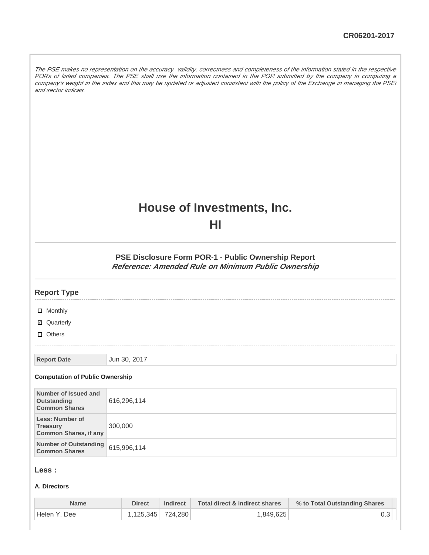The PSE makes no representation on the accuracy, validity, correctness and completeness of the information stated in the respective PORs of listed companies. The PSE shall use the information contained in the POR submitted by the company in computing a company's weight in the index and this may be updated or adjusted consistent with the policy of the Exchange in managing the PSEi and sector indices.

# **House of Investments, Inc.**

**HI**

**PSE Disclosure Form POR-1 - Public Ownership Report Reference: Amended Rule on Minimum Public Ownership**

| <b>Report Type</b>                                                        |              |
|---------------------------------------------------------------------------|--------------|
| $\Box$ Monthly<br>■ Quarterly<br>$\Box$ Others                            |              |
| <b>Report Date</b>                                                        | Jun 30, 2017 |
| <b>Computation of Public Ownership</b>                                    |              |
| Number of Issued and<br><b>Outstanding</b><br><b>Common Shares</b>        | 616,296,114  |
| <b>Less: Number of</b><br><b>Treasury</b><br><b>Common Shares, if any</b> | 300,000      |
| <b>Number of Outstanding</b><br><b>Common Shares</b>                      | 615,996,114  |
|                                                                           |              |

# **Less :**

## **A. Directors**

| Name           | <b>Direct</b>     | <b>Indirect</b> | Total direct & indirect shares | % to Total Outstanding Shares |
|----------------|-------------------|-----------------|--------------------------------|-------------------------------|
| ' Helen Y. Dee | 1.125.345 724.280 |                 | 1,849,625                      |                               |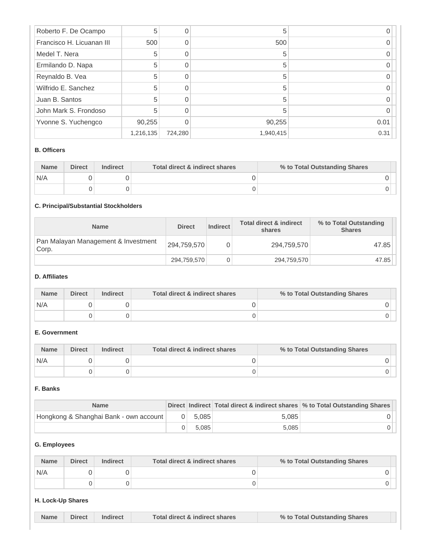| Roberto F. De Ocampo      | 5         | 0       | 5         |      |
|---------------------------|-----------|---------|-----------|------|
| Francisco H. Licuanan III | 500       |         | 500       |      |
| Medel T. Nera             | 5         |         |           |      |
| Ermilando D. Napa         | 5         | O       | 5         |      |
| Reynaldo B. Vea           | 5         | O       | 5         |      |
| Wilfrido E. Sanchez       | 5         |         | 5         |      |
| Juan B. Santos            | 5         |         |           |      |
| John Mark S. Frondoso     | 5         |         |           |      |
| Yvonne S. Yuchengco       | 90,255    |         | 90,255    | 0.01 |
|                           | 1,216,135 | 724,280 | 1,940,415 | 0.31 |

## **B. Officers**

| <b>Name</b> | <b>Direct</b> | <b>Indirect</b> | Total direct & indirect shares | % to Total Outstanding Shares |  |
|-------------|---------------|-----------------|--------------------------------|-------------------------------|--|
| N/A         |               |                 |                                |                               |  |
|             |               |                 |                                |                               |  |

## **C. Principal/Substantial Stockholders**

| <b>Name</b>                                  | <b>Direct</b> | Indirect | <b>Total direct &amp; indirect</b><br>shares | % to Total Outstanding<br><b>Shares</b> |
|----------------------------------------------|---------------|----------|----------------------------------------------|-----------------------------------------|
| Pan Malayan Management & Investment<br>Corp. | 294,759,570   |          | 294,759,570                                  | 47.85                                   |
|                                              | 294,759,570   |          | 294,759,570                                  | 47.85                                   |

# **D. Affiliates**

| <b>Name</b> | <b>Direct</b> | <b>Indirect</b> | Total direct & indirect shares | % to Total Outstanding Shares |
|-------------|---------------|-----------------|--------------------------------|-------------------------------|
| N/A         |               |                 |                                |                               |
|             |               |                 |                                |                               |

# **E. Government**

| <b>Name</b> | <b>Direct</b> | Indirect | Total direct & indirect shares | % to Total Outstanding Shares |  |
|-------------|---------------|----------|--------------------------------|-------------------------------|--|
| N/A         |               |          |                                |                               |  |
|             |               |          |                                |                               |  |

# **F. Banks**

| <b>Name</b>                            |          |       |       | Direct Indirect Total direct & indirect shares % to Total Outstanding Shares |
|----------------------------------------|----------|-------|-------|------------------------------------------------------------------------------|
| Hongkong & Shanghai Bank - own account | $\Omega$ | 5.085 | 5.085 |                                                                              |
|                                        |          | 5.085 | 5.085 |                                                                              |

## **G. Employees**

| <b>Name</b> | <b>Direct</b> | <b>Indirect</b> | Total direct & indirect shares | % to Total Outstanding Shares |  |
|-------------|---------------|-----------------|--------------------------------|-------------------------------|--|
| 'N/A        |               |                 |                                |                               |  |
|             |               |                 |                                |                               |  |

#### **H. Lock-Up Shares**

| <b>Name</b> | <b>Direct</b> | Indirect | Total direct & indirect shares | % to Total Outstanding Shares |
|-------------|---------------|----------|--------------------------------|-------------------------------|